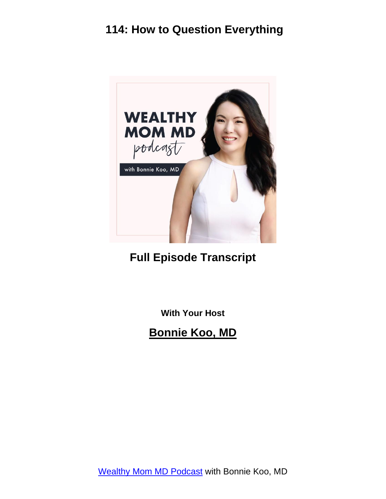

#### **Full Episode Transcript**

**With Your Host**

**Bonnie Koo, MD**

[Wealthy Mom MD Podcast](https://wealthymommd.com/podcast/) with Bonnie Koo, MD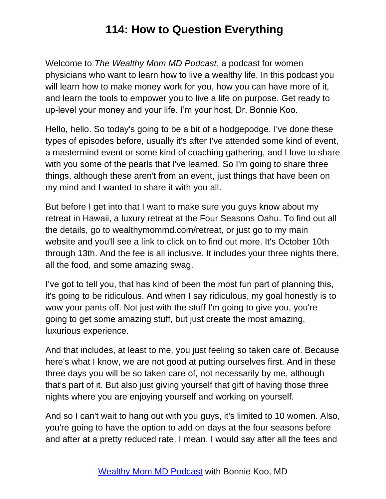Welcome to *The Wealthy Mom MD Podcast*, a podcast for women physicians who want to learn how to live a wealthy life. In this podcast you will learn how to make money work for you, how you can have more of it, and learn the tools to empower you to live a life on purpose. Get ready to up-level your money and your life. I'm your host, Dr. Bonnie Koo.

Hello, hello. So today's going to be a bit of a hodgepodge. I've done these types of episodes before, usually it's after I've attended some kind of event, a mastermind event or some kind of coaching gathering, and I love to share with you some of the pearls that I've learned. So I'm going to share three things, although these aren't from an event, just things that have been on my mind and I wanted to share it with you all.

But before I get into that I want to make sure you guys know about my retreat in Hawaii, a luxury retreat at the Four Seasons Oahu. To find out all the details, go to wealthymommd.com/retreat, or just go to my main website and you'll see a link to click on to find out more. It's October 10th through 13th. And the fee is all inclusive. It includes your three nights there, all the food, and some amazing swag.

I've got to tell you, that has kind of been the most fun part of planning this, it's going to be ridiculous. And when I say ridiculous, my goal honestly is to wow your pants off. Not just with the stuff I'm going to give you, you're going to get some amazing stuff, but just create the most amazing, luxurious experience.

And that includes, at least to me, you just feeling so taken care of. Because here's what I know, we are not good at putting ourselves first. And in these three days you will be so taken care of, not necessarily by me, although that's part of it. But also just giving yourself that gift of having those three nights where you are enjoying yourself and working on yourself.

And so I can't wait to hang out with you guys, it's limited to 10 women. Also, you're going to have the option to add on days at the four seasons before and after at a pretty reduced rate. I mean, I would say after all the fees and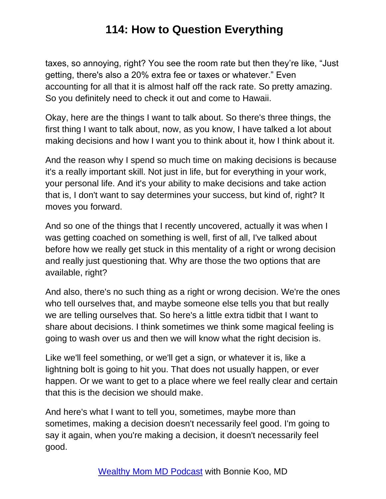taxes, so annoying, right? You see the room rate but then they're like, "Just getting, there's also a 20% extra fee or taxes or whatever." Even accounting for all that it is almost half off the rack rate. So pretty amazing. So you definitely need to check it out and come to Hawaii.

Okay, here are the things I want to talk about. So there's three things, the first thing I want to talk about, now, as you know, I have talked a lot about making decisions and how I want you to think about it, how I think about it.

And the reason why I spend so much time on making decisions is because it's a really important skill. Not just in life, but for everything in your work, your personal life. And it's your ability to make decisions and take action that is, I don't want to say determines your success, but kind of, right? It moves you forward.

And so one of the things that I recently uncovered, actually it was when I was getting coached on something is well, first of all, I've talked about before how we really get stuck in this mentality of a right or wrong decision and really just questioning that. Why are those the two options that are available, right?

And also, there's no such thing as a right or wrong decision. We're the ones who tell ourselves that, and maybe someone else tells you that but really we are telling ourselves that. So here's a little extra tidbit that I want to share about decisions. I think sometimes we think some magical feeling is going to wash over us and then we will know what the right decision is.

Like we'll feel something, or we'll get a sign, or whatever it is, like a lightning bolt is going to hit you. That does not usually happen, or ever happen. Or we want to get to a place where we feel really clear and certain that this is the decision we should make.

And here's what I want to tell you, sometimes, maybe more than sometimes, making a decision doesn't necessarily feel good. I'm going to say it again, when you're making a decision, it doesn't necessarily feel good.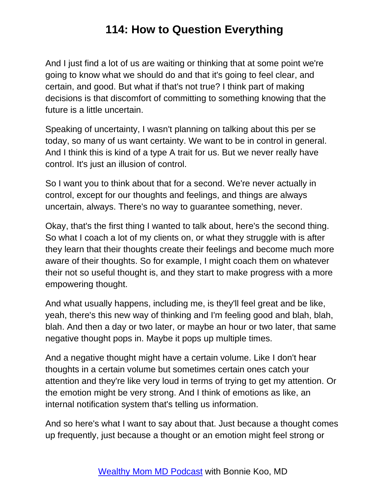And I just find a lot of us are waiting or thinking that at some point we're going to know what we should do and that it's going to feel clear, and certain, and good. But what if that's not true? I think part of making decisions is that discomfort of committing to something knowing that the future is a little uncertain.

Speaking of uncertainty, I wasn't planning on talking about this per se today, so many of us want certainty. We want to be in control in general. And I think this is kind of a type A trait for us. But we never really have control. It's just an illusion of control.

So I want you to think about that for a second. We're never actually in control, except for our thoughts and feelings, and things are always uncertain, always. There's no way to guarantee something, never.

Okay, that's the first thing I wanted to talk about, here's the second thing. So what I coach a lot of my clients on, or what they struggle with is after they learn that their thoughts create their feelings and become much more aware of their thoughts. So for example, I might coach them on whatever their not so useful thought is, and they start to make progress with a more empowering thought.

And what usually happens, including me, is they'll feel great and be like, yeah, there's this new way of thinking and I'm feeling good and blah, blah, blah. And then a day or two later, or maybe an hour or two later, that same negative thought pops in. Maybe it pops up multiple times.

And a negative thought might have a certain volume. Like I don't hear thoughts in a certain volume but sometimes certain ones catch your attention and they're like very loud in terms of trying to get my attention. Or the emotion might be very strong. And I think of emotions as like, an internal notification system that's telling us information.

And so here's what I want to say about that. Just because a thought comes up frequently, just because a thought or an emotion might feel strong or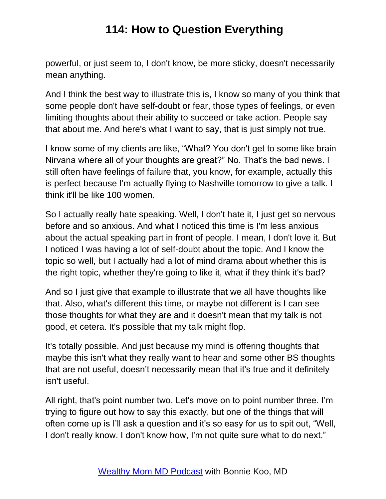powerful, or just seem to, I don't know, be more sticky, doesn't necessarily mean anything.

And I think the best way to illustrate this is, I know so many of you think that some people don't have self-doubt or fear, those types of feelings, or even limiting thoughts about their ability to succeed or take action. People say that about me. And here's what I want to say, that is just simply not true.

I know some of my clients are like, "What? You don't get to some like brain Nirvana where all of your thoughts are great?" No. That's the bad news. I still often have feelings of failure that, you know, for example, actually this is perfect because I'm actually flying to Nashville tomorrow to give a talk. I think it'll be like 100 women.

So I actually really hate speaking. Well, I don't hate it, I just get so nervous before and so anxious. And what I noticed this time is I'm less anxious about the actual speaking part in front of people. I mean, I don't love it. But I noticed I was having a lot of self-doubt about the topic. And I know the topic so well, but I actually had a lot of mind drama about whether this is the right topic, whether they're going to like it, what if they think it's bad?

And so I just give that example to illustrate that we all have thoughts like that. Also, what's different this time, or maybe not different is I can see those thoughts for what they are and it doesn't mean that my talk is not good, et cetera. It's possible that my talk might flop.

It's totally possible. And just because my mind is offering thoughts that maybe this isn't what they really want to hear and some other BS thoughts that are not useful, doesn't necessarily mean that it's true and it definitely isn't useful.

All right, that's point number two. Let's move on to point number three. I'm trying to figure out how to say this exactly, but one of the things that will often come up is I'll ask a question and it's so easy for us to spit out, "Well, I don't really know. I don't know how, I'm not quite sure what to do next."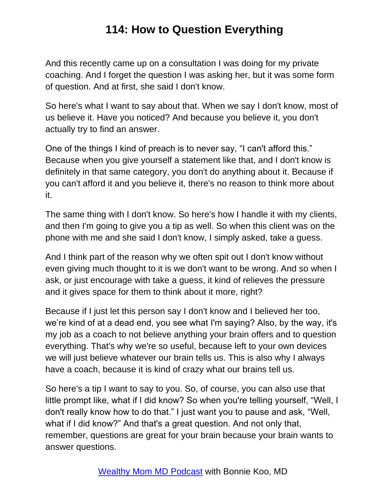And this recently came up on a consultation I was doing for my private coaching. And I forget the question I was asking her, but it was some form of question. And at first, she said I don't know.

So here's what I want to say about that. When we say I don't know, most of us believe it. Have you noticed? And because you believe it, you don't actually try to find an answer.

One of the things I kind of preach is to never say, "I can't afford this." Because when you give yourself a statement like that, and I don't know is definitely in that same category, you don't do anything about it. Because if you can't afford it and you believe it, there's no reason to think more about it.

The same thing with I don't know. So here's how I handle it with my clients, and then I'm going to give you a tip as well. So when this client was on the phone with me and she said I don't know, I simply asked, take a guess.

And I think part of the reason why we often spit out I don't know without even giving much thought to it is we don't want to be wrong. And so when I ask, or just encourage with take a guess, it kind of relieves the pressure and it gives space for them to think about it more, right?

Because if I just let this person say I don't know and I believed her too, we're kind of at a dead end, you see what I'm saying? Also, by the way, it's my job as a coach to not believe anything your brain offers and to question everything. That's why we're so useful, because left to your own devices we will just believe whatever our brain tells us. This is also why I always have a coach, because it is kind of crazy what our brains tell us.

So here's a tip I want to say to you. So, of course, you can also use that little prompt like, what if I did know? So when you're telling yourself, "Well, I don't really know how to do that." I just want you to pause and ask, "Well, what if I did know?" And that's a great question. And not only that, remember, questions are great for your brain because your brain wants to answer questions.